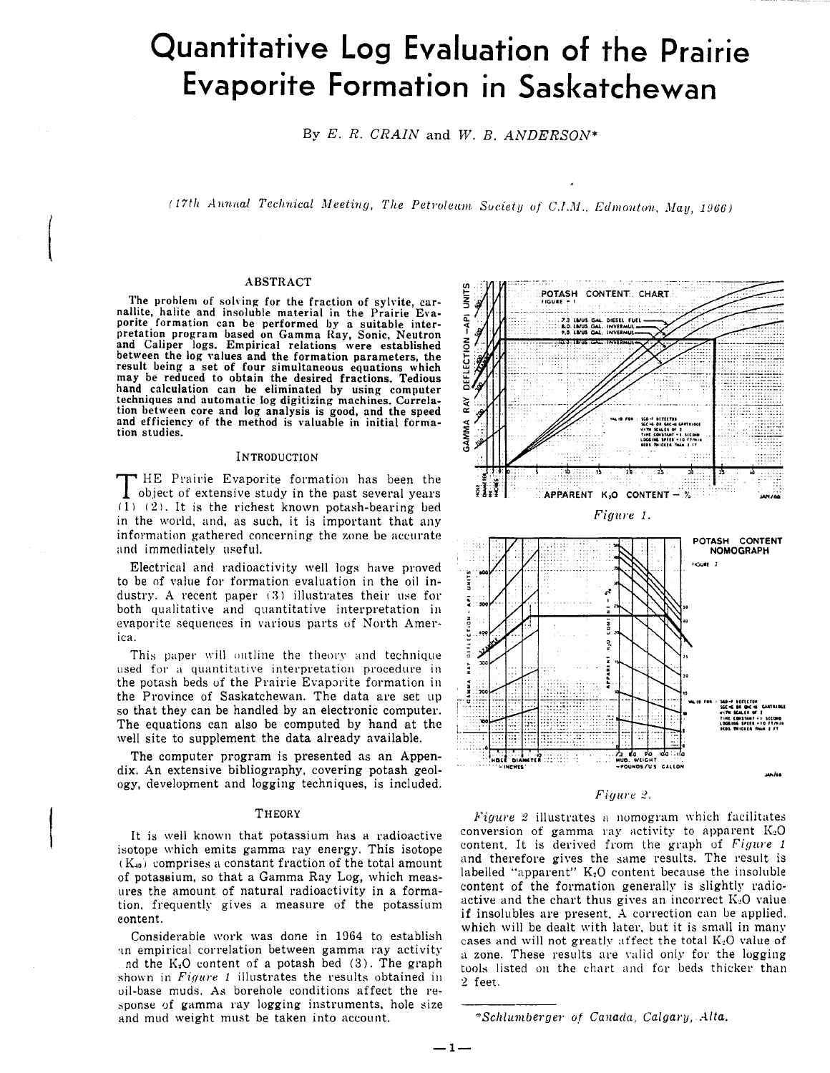# **Quantitative Log Evaluation of the Prairie Evaporite Formation in Saskatchewan**

By *E. R. CRAIN* and *W. B. ANDERSON\** 

*(17th Annual Technical Meeting, The Petroleum Society of C.I.M., Edmonton, May, 1966)* 

#### ABSTRACT

The prohlem of solving for the fraction of sylvite, car- nallite, halite and insoluble material in the Prairie Evaporite formation can be performed by a suitable inter-pretation program based on Gamma Ray, Sonic, Neutron and Caliper logs. Empirical relations were established between the log values and the formation parameters, the result being a set of four simultaneous equations which may be reduced to obtain the desired fractions. Tedious hand calculation can be eliminated by using computer techniques and automatic log digitizing machines. Correlation between core and log analysis is good, and the speed and efficiency of the method is valuable in initial formation studies.

#### INTRODUCTION

T HE Prairie Evaporite formation has been the object of extensive study in the past several years  $(1)$   $(2)$ . It is the richest known potash-bearing bed in the world, and, as such, it is important that any information gathered concerning the zone be accurate and immediately useful.

Electrical and radioactivity well logs have proved to be of value for formation evaluation in the oil industry. A recent paper  $(3)$  illustrates their use for both qualitative and quantitative interpretation in evaporite sequences in various parts of North America.

This paper will outline the theory and technique used for a quantitative interpretation procedure in the potash beds of the Prairie Evaporite formation in the Province of Saskatchewan. The data are set up so that they can be handled by an electronic computer. The equations can also be computed by hand at the well site to supplement the data already available.

The computer program is presented as an Appendix. An extensive bibliography, covering potash geology, development and logging techniques, is included.

### **THEORY**

It is well known that potassium has a radioactive isotope which emits gamma ray energy. This isotope  $(K_{40})$  comprises a constant fraction of the total amount of potassium, so that a Gamma Ray Log, which measures the amount of natural radioactivity in a formation. frequently gives a measure of the potassium eontent.

Considerable work was done in 1964 to establish an empirical correlation between gamma ray activity nd the  $K<sub>2</sub>O$  content of a potash bed (3). The graph shown in *Figure 1* illustrates the results obtained in oil-base muds. As borehole conditions affect the response of gamma ray logging instruments, hole size and mud weight must be taken into account.



*Figure* 2.

*Figure 2* illustrates a nomogram which facilitates conversion of gamma ray activity to apparent K,O content. It is derived from the graph of *Figure* <sup>1</sup> and therefore gives the same results. The result is labelled "apparent" K<sub>2</sub>O content because the insoluble content of the formation generally is slightly radioactive and the chart thus gives an incorrect  $K_2O$  value if insolubles are present. A correction can be applied. which will be dealt with later, but it is small in many cases and will not greatly affect the total  $K_2O$  value of a zone. These results are valid only for the logging tools listed on the chart and for beds thicker than 2 feet.

 $-1-$ 

*<sup>\*</sup>Schlumbel'ger of Canada, Calgary.A.lta.*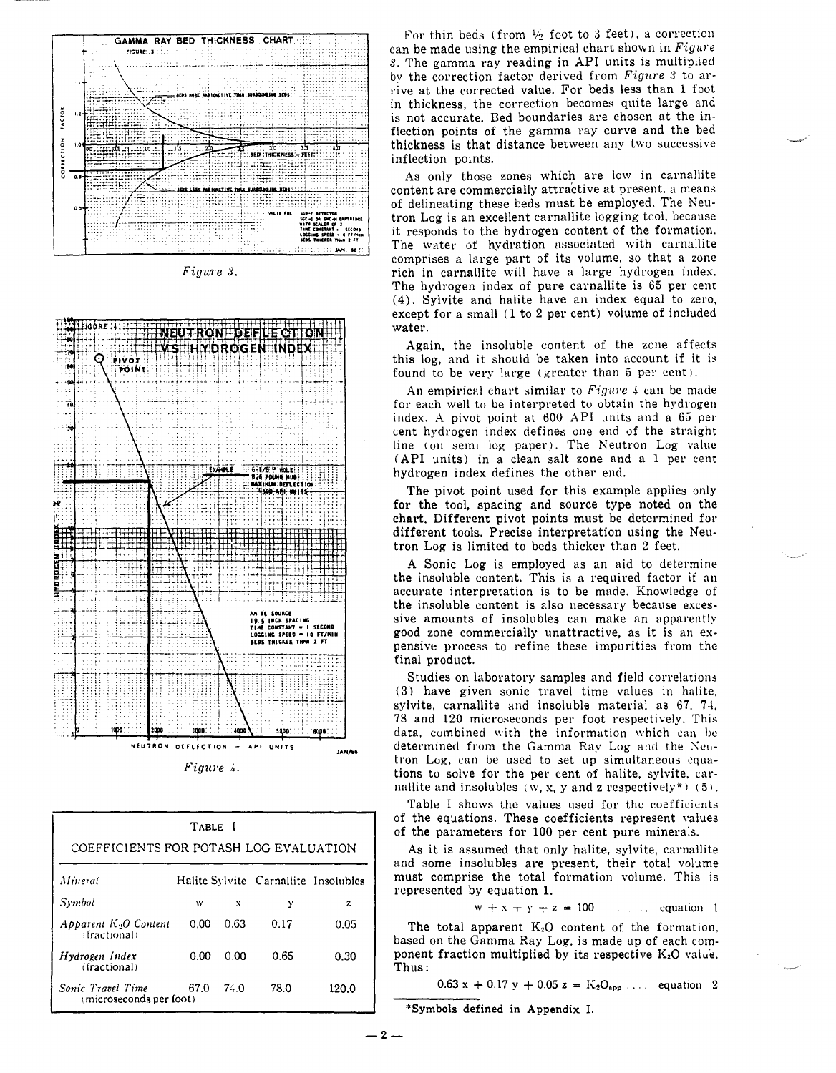

Figure 3.



 $Figure 4.$ 

| TABLE I<br>COEFFICIENTS FOR POTASH LOG EVALUATION |      |      |      |              |  |  |  |  |
|---------------------------------------------------|------|------|------|--------------|--|--|--|--|
| Halite Sylvite Carnallite Insolubles<br>Mineral   |      |      |      |              |  |  |  |  |
| Symbol                                            | w    | х    | у    | $\mathbf{z}$ |  |  |  |  |
| Abbarent $K_2O$ Content<br><i>fractionali</i>     | 0.00 | 0.63 | 0.17 | 0.05         |  |  |  |  |
| Hydrogen Index<br>(fractional)                    | 0.00 | 0.00 | 0.65 | 0.30         |  |  |  |  |
| Sonic Travel Time<br>(microseconds per foot)      | 67.0 | 74.0 | 78.0 | 120.0        |  |  |  |  |

For thin beds (from  $\frac{1}{2}$  foot to 3 feet), a correction can be made using the empirical chart shown in Figure 3. The gamma ray reading in API units is multiplied by the correction factor derived from *Figure* 3 to arrive at the corrected value. For beds less than 1 foot in thickness, the correction becomes quite large and is not accurate. Bed boundaries are chosen at the inflection points of the gamma ray curve and the bed thickness is that distance between any two successive inflection points.

As only those zones which are low in carnallite content are commercially attractive at present, a means of delineating these beds must be employed. The Neutron Log is an excellent carnallite logging tool, because it responds to the hydrogen content of the formation. The water of hydration associated with carnallite comprises a large part of its volume, so that a zone rich in carnallite will have a large hydrogen index. The hydrogen index of pure carnallite is 65 per cent  $(4)$ . Sylvite and halite have an index equal to zero. except for a small (1 to 2 per cent) volume of included water.

Again, the insoluble content of the zone affects this log, and it should be taken into account if it is found to be very large (greater than 5 per cent).

An empirical chart similar to Figure 4 can be made for each well to be interpreted to obtain the hydrogen index. A pivot point at 600 API units and a 65 per cent hydrogen index defines one end of the straight line (on semi log paper). The Neutron Log value (API units) in a clean salt zone and a 1 per cent hydrogen index defines the other end.

The pivot point used for this example applies only for the tool, spacing and source type noted on the chart. Different pivot points must be determined for different tools. Precise interpretation using the Neutron Log is limited to beds thicker than 2 feet.

A Sonic Log is employed as an aid to determine the insoluble content. This is a required factor if an accurate interpretation is to be made. Knowledge of the insoluble content is also necessary because excessive amounts of insolubles can make an apparently good zone commercially unattractive, as it is an expensive process to refine these impurities from the final product.

Studies on laboratory samples and field correlations (3) have given sonic travel time values in halite, sylvite, carnallite and insoluble material as 67. 74, 78 and 120 microseconds per foot respectively. This data, combined with the information which can be determined from the Gamma Ray Log and the Neutron Log, can be used to set up simultaneous equations to solve for the per cent of halite, sylvite, carnallite and insolubles (w, x, y and z respectively\*) (5).

Table I shows the values used for the coefficients of the equations. These coefficients represent values of the parameters for 100 per cent pure minerals.

As it is assumed that only halite, sylvite, carnallite and some insolubles are present, their total volume must comprise the total formation volume. This is represented by equation 1.

 $w + x + y + z = 100$  ....... equation 1

The total apparent  $K_2O$  content of the formation, based on the Gamma Ray Log, is made up of each component fraction multiplied by its respective K<sub>2</sub>O value. Thus:

 $0.63 x + 0.17 y + 0.05 z = K_2O_{app}$  ... equation 2

\*Symbols defined in Appendix I.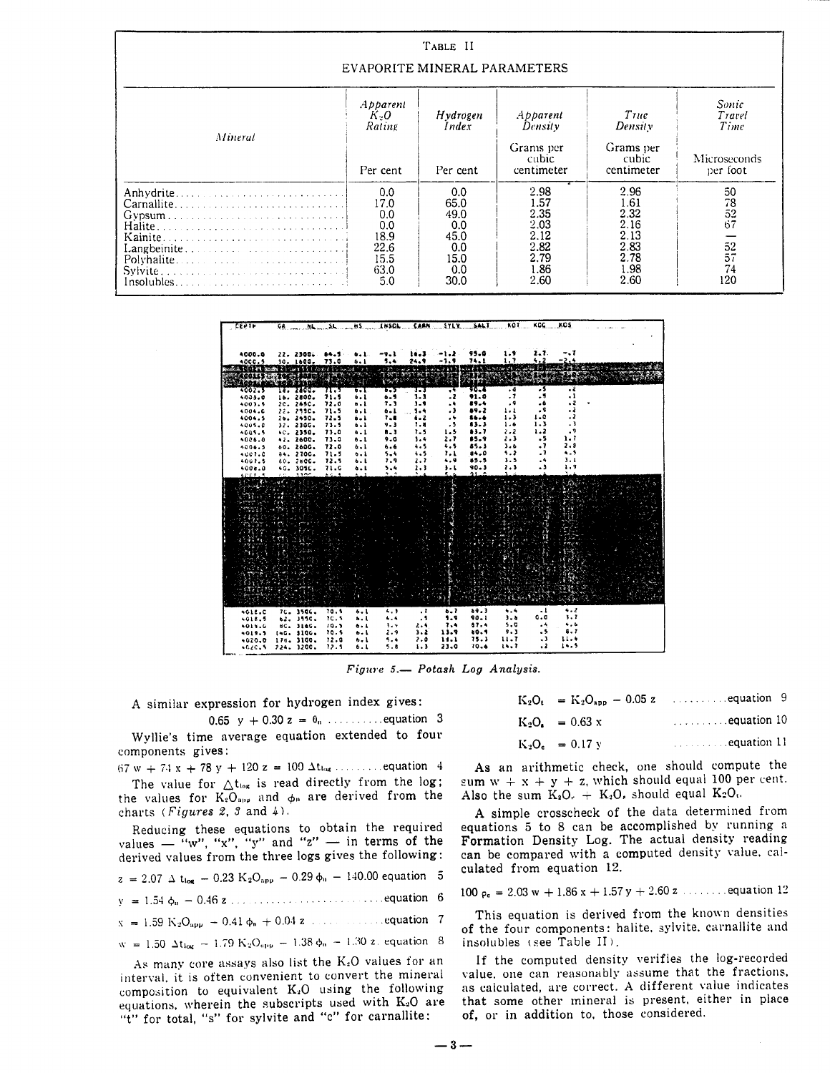|                                            |                                                                  | TABLE II                                                         |                                                                      |                                                                      |                                                             |  |  |  |  |
|--------------------------------------------|------------------------------------------------------------------|------------------------------------------------------------------|----------------------------------------------------------------------|----------------------------------------------------------------------|-------------------------------------------------------------|--|--|--|--|
| EVAPORITE MINERAL PARAMETERS               |                                                                  |                                                                  |                                                                      |                                                                      |                                                             |  |  |  |  |
|                                            | Apparent<br>$K_2O$<br>Rating                                     | Hydrogen<br>Index                                                | Apparent<br>Density                                                  | True<br>Density                                                      | Sonic<br>Travel<br>Time                                     |  |  |  |  |
| <b>Mineral</b>                             | Per cent                                                         | Per cent                                                         | Grams per<br>cubic<br>centimeter                                     | Grams per<br>cubic<br>centimeter                                     | Microseconds<br>per foot                                    |  |  |  |  |
| Carnallite<br>Gypsum<br>Kainite<br>Sylvite | 0.0<br>17.0<br>0.0<br>0.0<br>18.9<br>22.6<br>15.5<br>63.0<br>5.0 | 0.0<br>65.0<br>49.0<br>0.0<br>45.0<br>0.0<br>15.0<br>0.0<br>30.0 | 2.98<br>1.57<br>2.35<br>2.03<br>2.12<br>2.82<br>2.79<br>1.86<br>2.60 | 2.96<br>1.61<br>2.32<br>2.16<br>2.13<br>2.83<br>2.78<br>1.98<br>2.60 | 50<br>$\frac{78}{52}$<br>67<br>$\frac{52}{57}$<br>74<br>120 |  |  |  |  |

| <b>CEP 11</b>      | - 98                              | $M_{\rm{beam}}$                              | 31.              | MS.              | INSCL           | CARN             | 3 Y.K.Y.     | 5AL I                         | KOT.             | KCC.                 | $$ KOS                  |  |
|--------------------|-----------------------------------|----------------------------------------------|------------------|------------------|-----------------|------------------|--------------|-------------------------------|------------------|----------------------|-------------------------|--|
| 4000.0             |                                   | 22. 2300.                                    | 64.3             |                  |                 |                  |              |                               | - 9              | 2.7.                 |                         |  |
| 40CD. 5            |                                   | 30. 1600.<br>Na Zir≤aana Sil (darahat Sirika | 73.0             | 6.1<br>ಮುಳೆ `ೀರಿ | a to Marcount   |                  | $-285$       | 74.1<br>to 639, St Same often |                  |                      |                         |  |
|                    |                                   | 201311020                                    |                  |                  |                 |                  |              |                               |                  |                      |                         |  |
|                    |                                   |                                              |                  |                  |                 |                  |              |                               |                  |                      |                         |  |
| 4002.3             | 19.                               | 7800.<br>16. 2800.                           | 71.3             | 6. T<br>4.1      | 6. 5<br>$6 - 5$ | 3.3<br>à.<br>1.1 | .,<br>- 2    | 56.4<br>91.0                  | - 4<br>$\cdot$ 7 | . s<br>.5            | ء.<br>$\cdot$           |  |
| 4033.0<br>4003.5   |                                   | 20. 2650.                                    | 71.5<br>72.0     |                  | 7.3             | $3 - 9$          | ۰.           | 89.4                          | ۰۹               | . 6                  | $\cdot$                 |  |
| 4004.0             |                                   | 22.2550.                                     | 71.5             | 6.1              | $6 - 1$         | 5.4<br>$\sim$    | $\cdot$      | 89.2                          | $1 - 1$          | ۰.                   | - 2                     |  |
| 4004.5             |                                   | 26.2430.                                     | 72.5             | $6 - 1$          | 7.8             | $4 - 2$          | ٠٠           | 14.4                          | $1 - 3$          | $1 - 0$              | $\overline{\mathbf{z}}$ |  |
| 4005.0             |                                   | 32.2300.                                     | 73.5             | 1.1              | 9.3             | 1.8              | .5           | 83.3                          | $1 - 6$          | 1.3                  | - 3                     |  |
| 4605.5             |                                   | 40.2350.                                     | 73.0             | $6 - 1$          | 8. J            | $7 - 5$          | 1.5          | 1                             | $2 - 2$          | 1.2                  | .9                      |  |
| 4006.0             |                                   | 42. 2600.                                    | 73.0             | $6 - 1$          | 9.0             | 3.4              | 2.7          | 5.9                           | 2.3              | .5                   | $1 - 7$                 |  |
| 4006.5             |                                   | 60.2600.                                     | 72.0             | $6 - 1$          | 6.6             | 4.5<br>4.5       | 4.5<br>7.1   | 85.3<br>14.0                  | 3.8<br>5.2       | $\cdot$<br>. 1       | 2.3<br>4.5              |  |
| 4007.0<br>4007.5   |                                   | 04.2706.                                     | $71 - 5$<br>72.5 | $0 - 1$<br>6.1   | 5.4<br>7.9      | 2. 7             | 4.4          | 85.5                          | 3.5              | . 4                  | $3 - 1$                 |  |
| 0000.0             |                                   | 60. 2800.<br>40.305C.                        | 71.C             | $6 - 1$          | 5.4             | 2.3              | $3 - L$      | 90.3                          | 2.3              | $\ddot{\phantom{0}}$ | 1.9                     |  |
| unne e             | a as-                             | 1100                                         | 40. 5            |                  | $5 - 2$         | 5 L              | К. с         | 21.                           |                  |                      |                         |  |
| ₹.                 | $\mathcal{L} \subset \mathcal{L}$ |                                              |                  |                  |                 |                  |              |                               |                  |                      |                         |  |
|                    |                                   |                                              |                  |                  |                 |                  |              |                               |                  |                      |                         |  |
|                    |                                   |                                              |                  |                  |                 |                  |              |                               |                  |                      |                         |  |
|                    |                                   |                                              |                  |                  |                 |                  |              |                               |                  |                      |                         |  |
|                    |                                   |                                              |                  |                  |                 |                  |              |                               |                  |                      |                         |  |
|                    |                                   |                                              |                  |                  |                 |                  |              |                               |                  |                      |                         |  |
|                    |                                   |                                              |                  |                  |                 |                  |              |                               |                  |                      |                         |  |
|                    |                                   | CD 2115                                      |                  |                  |                 |                  |              |                               |                  |                      |                         |  |
|                    |                                   |                                              |                  |                  |                 |                  |              |                               |                  |                      |                         |  |
|                    |                                   | ಸರ್ಕ                                         |                  |                  |                 |                  |              |                               |                  |                      |                         |  |
|                    |                                   |                                              |                  |                  |                 |                  |              |                               |                  |                      |                         |  |
|                    |                                   |                                              |                  |                  |                 |                  |              |                               |                  |                      |                         |  |
|                    |                                   |                                              |                  |                  |                 |                  |              |                               |                  |                      |                         |  |
|                    |                                   |                                              |                  |                  |                 |                  |              |                               |                  |                      |                         |  |
|                    |                                   |                                              |                  |                  |                 |                  |              |                               |                  |                      |                         |  |
|                    |                                   |                                              |                  |                  |                 |                  |              |                               |                  |                      |                         |  |
| 0.310 <sub>1</sub> |                                   | 70. 350G.                                    | 70.1             | $6 - 1$          | 4.3             | . 1              | $6 - 7$      | 59.3                          | 4.4              | $\cdot$ t            | 4.2                     |  |
| $-018.5$           |                                   | 62. 3550.                                    | TC.5             | 5.1              | 4.4             | .,               | 5.9          | $90 - 1$                      | 3.1              | 6.0                  | 3.7                     |  |
| $-019.6$           |                                   | 6C. 316C.                                    | 10.3             | $6 - 1$          | 3.4             | 2.4              | 7.4          | 87.4                          | 5.0              | . 4                  | 4.6                     |  |
| 4019.5             |                                   | 140. 3100.                                   | 70.5             | 6. L             | 2.9             | $3 - 2$          | 11.9         | 10.9<br>75.3                  | 9.3<br>11.7      | . 5<br>$\cdot$       | 8.7<br>11.4             |  |
| 4020.0             |                                   | 178, 3100.                                   | 72.0             | 6. L             | 5.4<br>5.8      | 2.0<br>$1 - 3$   | 11.1<br>23.0 | 70.6                          | 14.7             | , 2                  | 14.5                    |  |
| 4620.5             |                                   | 224. 3200.                                   | 72.5             | 6. L             |                 |                  |              |                               |                  |                      |                         |  |

Figure 5.- Potash Log Analysis.

A similar expression for hydrogen index gives:

0.65 
$$
y + 0.30 z = 0
$$
...........equation 3

Wyllie's time average equation extended to four components gives:

The value for  $\triangle t_{\text{log}}$  is read directly from the log; the values for  $K_2O_{app}$  and  $\phi_n$  are derived from the charts (Figures 2, 3 and 4).

Reducing these equations to obtain the required values — "w", "x", "y" and "z" — in terms of the derived values from the three logs gives the following:

$$
z = 2.07 \Delta t_{log} - 0.23 K_2 O_{app} - 0.29 \phi_n - 140.00
$$
 equation 5

$$
v = 1.54 \phi_n - 0.46 z
$$

$$
w = 1.50 \Delta t_{\text{log}} = 1.79 \text{ K}_2\text{O}_{\text{app}} = 1.38 \phi_n = 1.30 \text{ z}
$$
. equation 8

As many core assays also list the K2O values for an interval, it is often convenient to convert the mineral composition to equivalent  $K_2O$  using the following equations, wherein the subscripts used with  $K_2O$  are "t" for total, "s" for sylvite and "c" for carnallite:

|  | $K_2O_t = K_2O_{app} - 0.05 z$ |  | $\ldots \ldots$ equation 9 |  |
|--|--------------------------------|--|----------------------------|--|
|--|--------------------------------|--|----------------------------|--|

$$
K_2O_4 = 0.63 x \qquad \qquad \ldots \ldots \qquad \text{equation 10}
$$

$$
K_2O_e = 0.17 y
$$

As an arithmetic check, one should compute the sum  $w + x + y + z$ , which should equal 100 per cent. Also the sum  $K_2O_r + K_2O_s$  should equal  $K_2O_r$ .

A simple crosscheck of the data determined from equations 5 to 8 can be accomplished by running a Formation Density Log. The actual density reading can be compared with a computed density value. calculated from equation 12.

100  $\rho_c = 2.03 \text{ w} + 1.86 \text{ x} + 1.57 \text{ y} + 2.60 \text{ z}$  ........ equation 12

This equation is derived from the known densities of the four components: halite, sylvite, carnallite and insolubles (see Table II).

If the computed density verifies the log-recorded value, one can reasonably assume that the fractions, as calculated, are correct. A different value indicates that some other mineral is present, either in place of, or in addition to, those considered.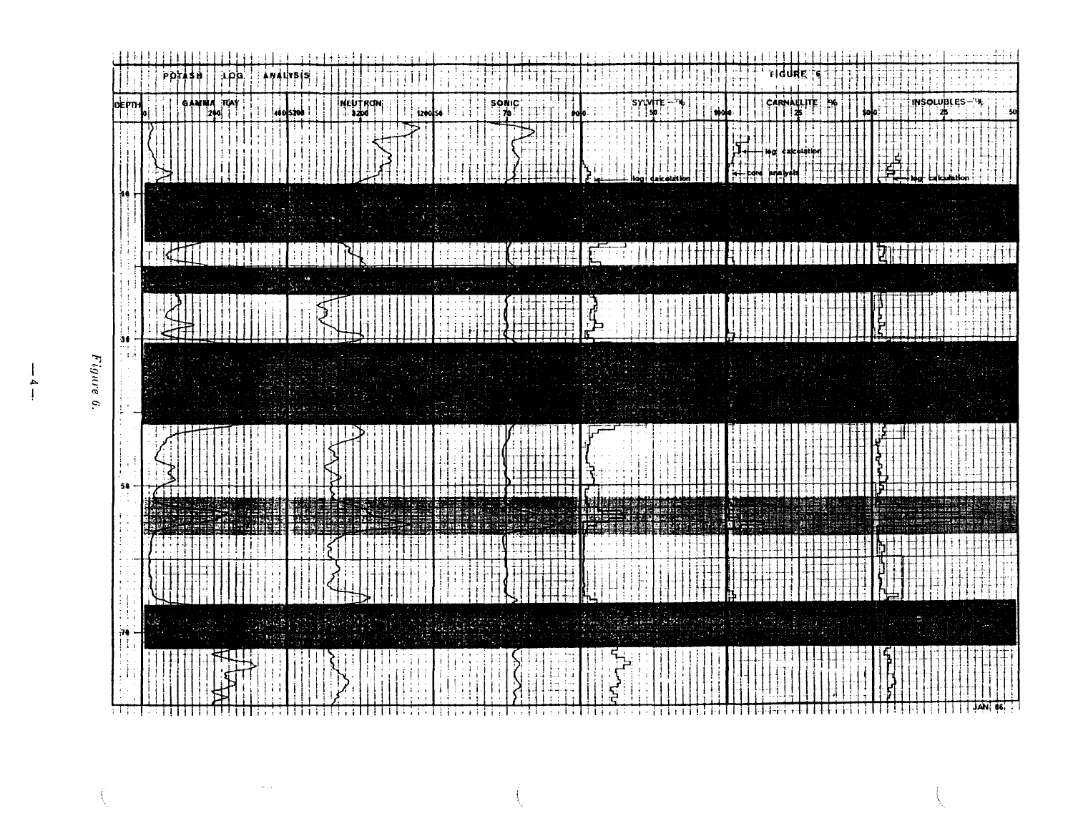![](_page_3_Figure_0.jpeg)

Figure 6.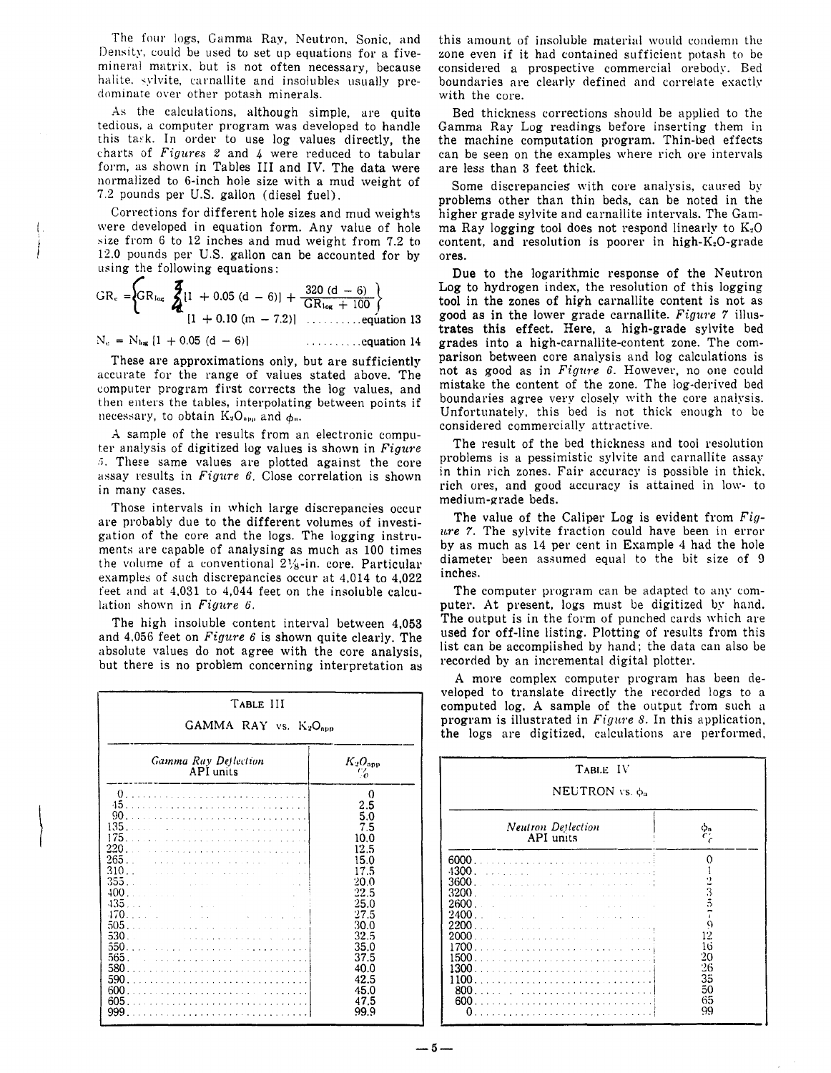The four logs, Gamma Ray, Neutron, Sonic, and Density, could be used to set up equations for a fivemineral matrix, but is not often necessary, because halite, sylvite, carnallite and insolubles usually predominate over other potash minerals.

As the calculations, although simple, are quite tedious, a computer program was developed to handle this task. In order to use log values directly, the charts of Figures  $2$  and  $4$  were reduced to tabular form, as shown in Tables III and IV. The data were normalized to 6-inch hole size with a mud weight of 7.2 pounds per U.S. gallon (diesel fuel).

Corrections for different hole sizes and mud weights were developed in equation form. Any value of hole size from 6 to 12 inches and mud weight from 7.2 to 12.0 pounds per U.S. gallon can be accounted for by using the following equations:

 $N_e = N_{\text{log}} [1 + 0.05 (d - 6)]$  $\ldots \ldots \ldots$  equation 14

These are approximations only, but are sufficiently accurate for the range of values stated above. The computer program first corrects the log values, and then enters the tables, interpolating between points if necessary, to obtain  $K_2O_{app}$  and  $\phi_m$ .

A sample of the results from an electronic computer analysis of digitized log values is shown in Figure 5. These same values are plotted against the core assay results in Figure 6. Close correlation is shown in many cases.

Those intervals in which large discrepancies occur are probably due to the different volumes of investigation of the core and the logs. The logging instruments are capable of analysing as much as 100 times the volume of a conventional 21/8-in. core. Particular examples of such discrepancies occur at 4,014 to 4,022 feet and at 4,031 to 4,044 feet on the insoluble calculation shown in Figure  $6$ .

The high insoluble content interval between 4,053 and 4,056 feet on *Figure 6* is shown quite clearly. The absolute values do not agree with the core analysis. but there is no problem concerning interpretation as

| TABLE III<br>GAMMA RAY vs. K <sub>2</sub> O <sub>app</sub>                                                                                                                                                                                                                                                                                                                  |                                                                                                                                                                |
|-----------------------------------------------------------------------------------------------------------------------------------------------------------------------------------------------------------------------------------------------------------------------------------------------------------------------------------------------------------------------------|----------------------------------------------------------------------------------------------------------------------------------------------------------------|
| Gamma Ray Deflection<br>API units                                                                                                                                                                                                                                                                                                                                           | $K_2O_{app}$<br>$\%$                                                                                                                                           |
| 0<br>90<br>135.<br>175<br>.<br>220<br>the contract of the contract of the contract of the contract of the contract of the contract of the contract of<br>$265 -$<br>310<br>and the company of the company<br>355.<br>400<br><b>Contractor</b><br>435 -<br>470<br>505<br><u>.</u><br>530.<br>550<br>565.<br>and the state of the state of<br>580<br>590<br>600<br>605<br>999 | 0<br>2.5<br>5.0<br>7.5<br>10.0<br>12.5<br>15.0<br>17.5<br>20.0<br>22.5<br>25.0<br>27.5<br>30 O<br>32.5<br>35.0<br>37.5<br>40.0<br>42.5<br>45.0<br>47.5<br>99.9 |

this amount of insoluble material would condemn the zone even if it had contained sufficient potash to be considered a prospective commercial orebody. Bed boundaries are clearly defined and correlate exactly with the core.

Bed thickness corrections should be applied to the Gamma Ray Log readings before inserting them in the machine computation program. Thin-bed effects can be seen on the examples where rich ore intervals are less than 3 feet thick.

Some discrepancies with core analysis, caused by problems other than thin beds, can be noted in the higher grade sylvite and carnallite intervals. The Gamma Ray logging tool does not respond linearly to  $K_2O$ content, and resolution is poorer in high-K<sub>2</sub>O-grade ores.

Due to the logarithmic response of the Neutron Log to hydrogen index, the resolution of this logging tool in the zones of high carnallite content is not as good as in the lower grade carnallite. Figure 7 illustrates this effect. Here, a high-grade sylvite bed grades into a high-carnallite-content zone. The comparison between core analysis and log calculations is not as good as in Figure 6. However, no one could mistake the content of the zone. The log-derived bed boundaries agree very closely with the core analysis. Unfortunately, this bed is not thick enough to be considered commercially attractive.

The result of the bed thickness and tool resolution problems is a pessimistic sylvite and carnallite assay in thin rich zones. Fair accuracy is possible in thick, rich ores, and good accuracy is attained in low- to medium-grade beds.

The value of the Caliper Log is evident from Figure 7. The sylvite fraction could have been in error by as much as 14 per cent in Example 4 had the hole diameter been assumed equal to the bit size of 9 inches.

The computer program can be adapted to any computer. At present, logs must be digitized by hand. The output is in the form of punched cards which are used for off-line listing. Plotting of results from this list can be accomplished by hand; the data can also be recorded by an incremental digital plotter.

A more complex computer program has been developed to translate directly the recorded logs to a computed log. A sample of the output from such a program is illustrated in  $Figure 8$ . In this application, the logs are digitized, calculations are performed,

| TABLE IV<br>NEUTRON vs. $\phi_a$                                                                                        |                |
|-------------------------------------------------------------------------------------------------------------------------|----------------|
| <b>Neutron Detlection</b><br>API units                                                                                  | Фn             |
| 6000.<br>distribution of the state of the state of the state of the state of the state of the state of the state of the |                |
| 4300.<br>.                                                                                                              |                |
| 3600                                                                                                                    |                |
| 3200.                                                                                                                   | 3              |
| 2600                                                                                                                    | $\overline{5}$ |
| 2400                                                                                                                    |                |
| 2200<br>and the state of the state of the                                                                               |                |
| 2000<br>distribution and a state of the control of the                                                                  |                |
| 1700                                                                                                                    | 16             |
| 1500                                                                                                                    | 20             |
| 1300                                                                                                                    | 26             |
| 1100<br>. <b>. .</b> <i>. .</i>                                                                                         | 35             |
| 800.<br>. <b>. .</b> <i>.</i>                                                                                           | 50             |
| 600.                                                                                                                    | 65             |
|                                                                                                                         | 99             |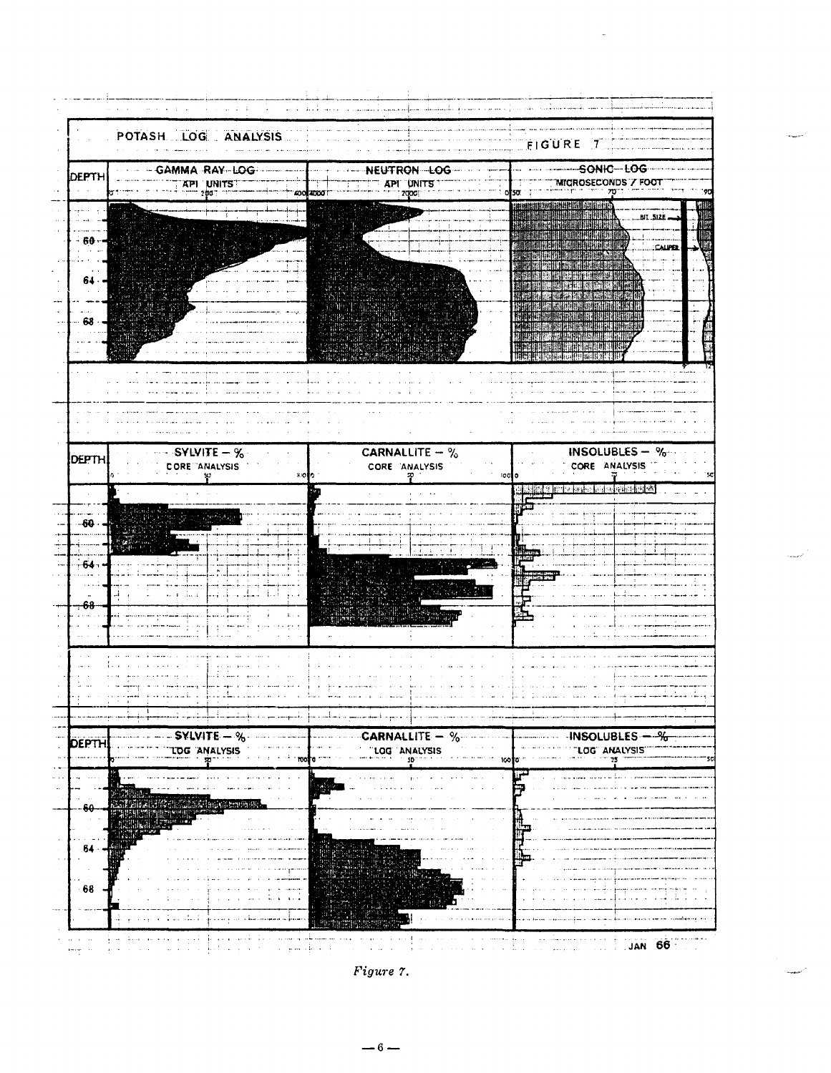![](_page_5_Figure_0.jpeg)

Figure 7.

 $-6-$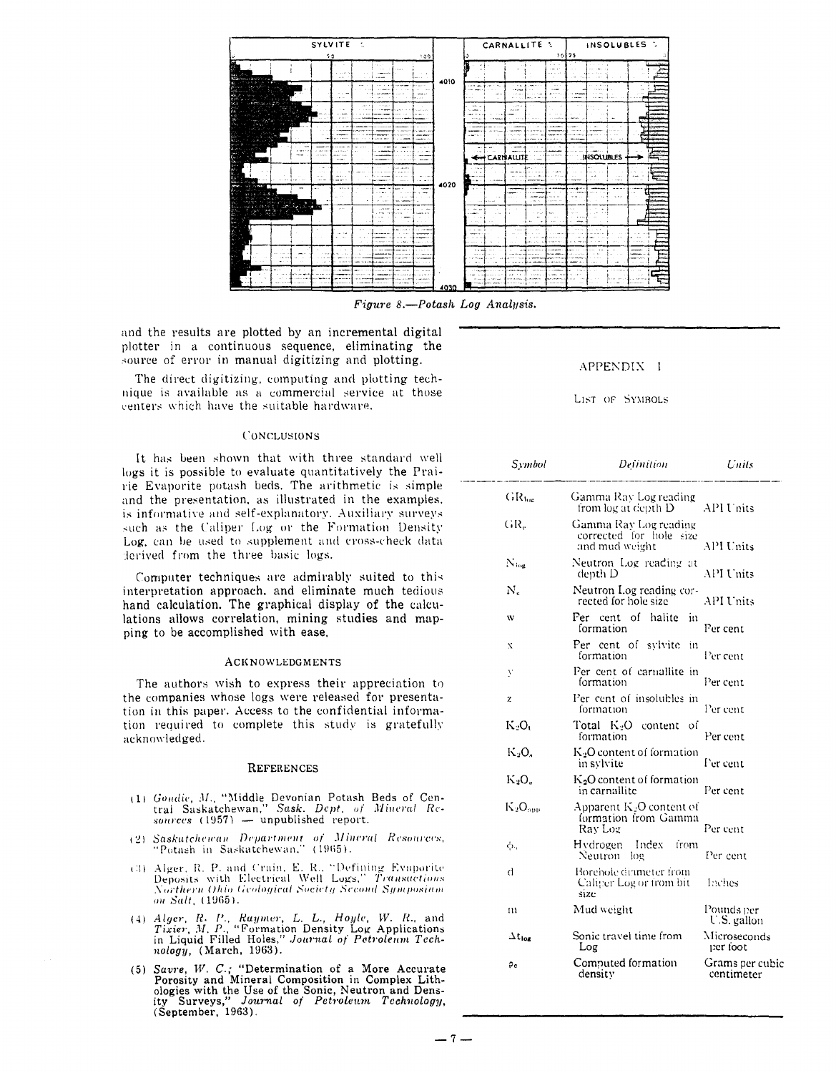|                                                                                    | SYLVITE :                                                                       |                                                                 |                                                                                   |      |                                                                                               | CARNALLITE 1                                                                                                            | INSOLUBLES :                                                                                          |
|------------------------------------------------------------------------------------|---------------------------------------------------------------------------------|-----------------------------------------------------------------|-----------------------------------------------------------------------------------|------|-----------------------------------------------------------------------------------------------|-------------------------------------------------------------------------------------------------------------------------|-------------------------------------------------------------------------------------------------------|
|                                                                                    | 53                                                                              |                                                                 | 100                                                                               |      |                                                                                               |                                                                                                                         | $50$   25                                                                                             |
| <b>Willy Allen State College</b>                                                   | a content<br>$\sim$ $\sim$                                                      | $\sim$<br><b>CAMPA AV</b><br>$2.6 - 1.0$<br><b>ALC</b>          | <b>SAL</b><br>المتمعا                                                             | 4010 | $\sim$<br>a.                                                                                  | $\sim$ 100 $\pm$<br>$\sim$ 100 $\sim$ 100 $\sim$                                                                        | $\cdots$                                                                                              |
| متوحد وربويدب<br><b>BAN NOW!</b><br>٠<br>$\overline{a}$<br>S.A.<br>1600            | Alle Mar<br>$\mathcal{L}_{\mathbf{X}}(\mathbf{r})$ and                          | <br>$\cdots$<br>$\sim$ 1000<br><b>ALCOHOL</b>                   | des parts<br>. <b>.</b><br>Aug<br><b>ALC</b><br>20.98 < 1.7<br>1.11               |      | come and<br>$ -$<br>come service.<br>$\sim$ .<br>$\sim$                                       | $\sim 10^{-1}$<br><b>BALLA</b><br><b>State Street</b><br><b>Secure</b><br><b>STANDARD</b><br>11.11.00                   | $\sim$<br><b>Service</b><br><b>COLOR</b><br><b>La Carriera</b>                                        |
| アルカウンス バ<br>200<br><b>A</b>                                                        | $\sim$ 10<br><b>ALCOHOL</b><br>101215-016                                       | a.<br>1111211                                                   |                                                                                   |      | <b>ABC A</b><br><b>STORMS</b><br>and the ac-<br><b>Contract</b><br>111111111<br>$\sim$ $\sim$ | $\cdots$ and $\cdots$<br><br>11.12<br>---<br>mark of<br>بيضبت<br>$\sim$ $\sim$                                          | <b>AVAN</b><br>٠                                                                                      |
| 24.95<br>$\mathcal{N}$<br>n.                                                       | .<br>1.111<br>$\sim$<br>11.12.11                                                | .                                                               | <b>Country of</b>                                                                 |      | <br>.<br><b>CONTRACTOR</b><br>$\sim$                                                          | <b>HAAMS</b><br>$-148$<br>.<br>1.00111138<br>$-0.00117$<br>--------<br><br>10010-014<br><b>CONTRACTOR</b>               | $\sim$<br><b>SALES</b><br>20.11<br>ç.<br>Œ<br>1.111.1<br>$\mathbf{a}$<br>×.<br>$\sim$<br>WOOD WARRANT |
| <b>START</b>                                                                       | ورمست<br><br>$100 - 100 = 100$<br>داردها مان<br>11.111<br>en se<br><b>House</b> | .<br><b><i><u>Property</u></i></b><br>1.000<br><b>AN WANTED</b> | $-$<br>$\sim$ 100 $\pm$<br>المعادي والمرادي<br>And Arrest<br><b>AN HAFT</b>       |      | $-$<br><del>C -</del> † CARNALLITE                                                            | <b>CONTRACTOR</b><br>--<br>$\alpha \in \mathbb{R}$ .<br><b>Marchan</b><br>1.111<br>ومعادي                               | $\sim$<br>.<br>Contemporar<br><b>INSOLUBLES</b>                                                       |
| e.<br>£.≴<br>$\mathbf{A}$<br>$\sim$<br><b>Side</b>                                 | 1.14<br>$\sim$ 100 $\pm$<br>$\sim$ 100<br>1.1.1.1<br>22.301<br>من بن<br>----    |                                                                 | an area<br>ALC: YES<br>.<br>$100 - 100$<br>1.1.1.1<br>$\mathbf{w}=\mathbf{w}$ and |      | 1.1111<br>19.14<br>an to an<br>$\cdots$                                                       | $\cdots$<br>.<br>$\lambda$<br>1.1111                                                                                    | <b>COLLECTION</b><br>$\sim$ $\sim$<br>$\sim$<br><b>Contract</b><br>----<br><b>ALC: YES</b>            |
| State Product<br>Street.<br>a.<br>$28 - 3.5$<br>لأشتكر<br>$\mathbf{z}$<br>12-18 AM | <b>ALCOHOL</b><br>- 1                                                           | $\sim$<br>. .<br>$\ddot{\phantom{a}}$<br><b>CONTRACTOR</b>      | <b>SWW</b><br>.<br>$-$<br>$\sim$<br>24.42                                         | 4020 | $\sim$<br>10,00                                                                               | <br><b>Lander</b><br>$\cdots$<br>1.11<br>o <del>se</del> ve<br>1.1.1<br>$\cdots$                                        | والمتوافق والمسار<br>$- - - -$<br>.<br>$\sim$ 500                                                     |
| الحوالى<br>OWNER WALLET<br><b>STATISTICS</b><br>$-6.83$<br>- 27<br>ъ.<br>×<br>做我   | $\sim$ $\sim$                                                                   | $-0.0000$<br>1.1<br>4.8<br>14.15                                | <b>Witness</b>                                                                    |      | <b>Chairman</b><br>$\sim$ 10 $\pm$<br><b>CONTRACTOR</b><br>$1 - 111$<br><b>State State</b>    | $\sim$ 100 m $\sim$<br><br>×.<br>$\sim$<br>- 11                                                                         |                                                                                                       |
|                                                                                    | $\sim$ 1.4<br>e su                                                              | $\sim$<br>$\sim$<br><b>With Marshall</b><br>1.1.1.1.1           | والمحادث والمعا                                                                   |      | .<br>------<br>$10 - 10 = 10$<br>                                                             | 1.1111<br>Same.                                                                                                         | $\sim$<br>134                                                                                         |
| .<br>$\overline{a}$<br>$\sim$<br>$\bullet$<br>ä.                                   | $\sim$ 100<br>$1 - 111$<br>1.100<br><br>14,400                                  | a mate                                                          | <b>Service</b>                                                                    |      | $\sim$ $\sim$<br>$\sim$<br>$\mathbf{u}_{\mathrm{in}}$                                         | ومسرور<br>.                                                                                                             | -----<br>----<br><b>A. A. A. A. A.</b><br><b>ALC UNIT</b>                                             |
| $\sim$<br>14<br>$100 - 1000$                                                       |                                                                                 |                                                                 | .<br>a castro<br>.<br>                                                            | 4030 | .<br><b>Suite</b><br>18.111<br>                                                               | <br><b>Contact of</b><br><b>STATE OF</b><br><b>CONTRACTOR</b><br><b>AT</b><br><b>STATISTICS</b><br><b>STATISTIC</b><br> | <b>Allen</b><br><b>THEFT CONTROL</b><br>$\sim$<br>$\sim$<br>.                                         |

Figure 8.-Potash Log Analysis.

and the results are plotted by an incremental digital plotter in a continuous sequence, eliminating the source of error in manual digitizing and plotting.

The direct digitizing, computing and plotting technique is available as a commercial service at those centers which have the suitable hardware.

# CONCLUSIONS

It has been shown that with three standard well logs it is possible to evaluate quantitatively the Prairie Evaporite potash beds. The arithmetic is simple and the presentation, as illustrated in the examples. is informative and self-explanatory. Auxiliary surveys such as the Caliper Log or the Formation Density Log, can be used to supplement and cross-check data derived from the three basic logs.

Computer techniques are admirably suited to this interpretation approach, and eliminate much tedious hand calculation. The graphical display of the calculations allows correlation, mining studies and mapping to be accomplished with ease.

#### ACKNOWLEDGMENTS

The authors wish to express their appreciation to the companies whose logs were released for presentation in this paper. Access to the confidential information required to complete this study is gratefully acknowledged.

## **REFERENCES**

- (1) Gondie, M., "Middle Devonian Potash Beds of Central Saskatchewan," Sask. Dept. of Mineral Resources (1957) - unpublished report.
- (2) Saskatchewan Department of Mineral Resources, "Potash in Saskatchewan," (1965).
- (3) Alger, R. P. and Crain, E. R., "Defining Evaporite Deposits with Electrical Well Logs," Transactions Northern Ohio Geological Society Second Symposium on Salt, (1965).
- (4)  $Alger$ , R. P., Raymer, L. L., Hoyle, W. R., and Tixier, M. P., "Formation Density Log Applications in Liquid Filled Holes," Journal of Petroleum Technology, (March, 1963).
- (5) Savre, W. C.; "Determination of a More Accurate Porosity and Mineral Composition in Complex Lithologies with the Use of the Sonic, Neutron and Density<br>ity Surveys," Journal of Petroleum Technology,<br>(September, 1963).

#### Symbol **Definition** Units  $GR_{\text{tot}}$ Gamma Ray Log reading from log at depth D API Units  $GR_{e}$ Gamma Ray Log reading corrected for hole size and mud weight. API Units Neutron Log reading at  $N_{\rm top}$ **API Units** depth D  $N_{\rm c}$ Neutron Log reading corrected for hole size API Units Per cent of halite in W formation Per cent Per cent of sylvite in  $\bar{x}$ formation Per cent Per cent of carnallite in  $\lambda$ formation Per cent  $\mathbf{z}$ Per cent of insolubles in Per cent formation Total K2O content of  $K_2O_t$ formation Per cent K2O.  $K_2O$  content of formation in sylvite Per cent  $K_2O_a$ K<sub>2</sub>O content of formation in carnallite Per cent Apparent K<sub>2</sub>O content of  $K_2O_{app}$ formation from Gamma Ray Log Per cent Hydrogen Index from  $\phi_{2}$ Neutron log Per cent đ Borehole dinmeter from Caliger Log or from bit Inches size Mud weight Pounds per  $\mathbf{m}$ U.S. gallon  $\Delta t_{\text{loc}}$ Sonic travel time from Microseconds per foot Log Computed formation Grams per cubic Po density centimeter

APPENDIX I

LIST OF SYMBOLS